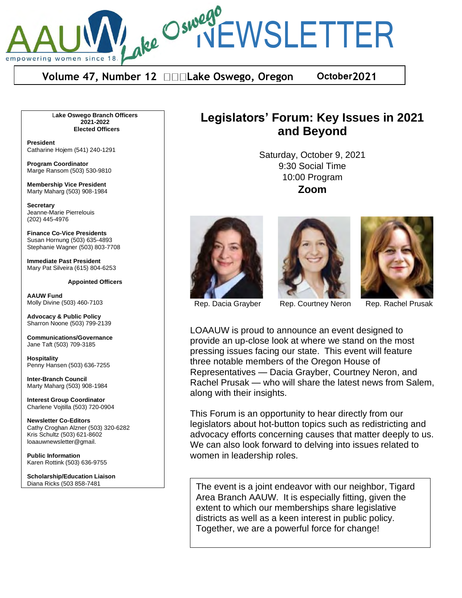ake Oswego<br>Ake Oswego<br>INEWSLETTER empowering women since

**Volume 47, Number 12 Lake Oswego, Oregon October2021** 

L**ake Oswego Branch Officers 2021-2022 Elected Officers**

**President** Catharine Hojem (541) 240-1291

**Program Coordinator** Marge Ransom (503) 530-9810

**Membership Vice President** Marty Maharg (503) 908-1984

**Secretary** Jeanne-Marie Pierrelouis (202) 445-4976

**Finance Co-Vice Presidents** Susan Hornung (503) 635-4893 Stephanie Wagner (503) 803-7708

**Immediate Past President** Mary Pat Silveira (615) 804-6253

#### **Appointed Officers**

**AAUW Fund** Molly Divine (503) 460-7103

**Advocacy & Public Policy** Sharron Noone (503) 799-2139

**Communications/Governance** Jane Taft (503) 709-3185

**Hospitality** Penny Hansen (503) 636-7255

**Inter-Branch Council** Marty Maharg (503) 908-1984

**Interest Group Coordinator** Charlene Vojtilla (503) 720-0904

**Newsletter Co-Editors** Cathy Croghan Alzner (503) 320-6282 Kris Schultz (503) 621-8602 loaauwnewsletter@gmail.

**Public Information** Karen Rottink (503) 636-9755

**Scholarship/Education Liaison** Diana Ricks (503 858-7481

# **Legislators' Forum: Key Issues in 2021 and Beyond**

Saturday, October 9, 2021 9:30 Social Time 10:00 Program **Zoom**







Rep. Dacia Grayber Rep. Courtney Neron Rep. Rachel Prusak

LOAAUW is proud to announce an event designed to provide an up-close look at where we stand on the most pressing issues facing our state. This event will feature three notable members of the Oregon House of Representatives — Dacia Grayber, Courtney Neron, and Rachel Prusak — who will share the latest news from Salem, along with their insights.

This Forum is an opportunity to hear directly from our legislators about hot-button topics such as redistricting and advocacy efforts concerning causes that matter deeply to us. We can also look forward to delving into issues related to women in leadership roles.

The event is a joint endeavor with our neighbor, Tigard Area Branch AAUW. It is especially fitting, given the extent to which our memberships share legislative districts as well as a keen interest in public policy. Together, we are a powerful force for change!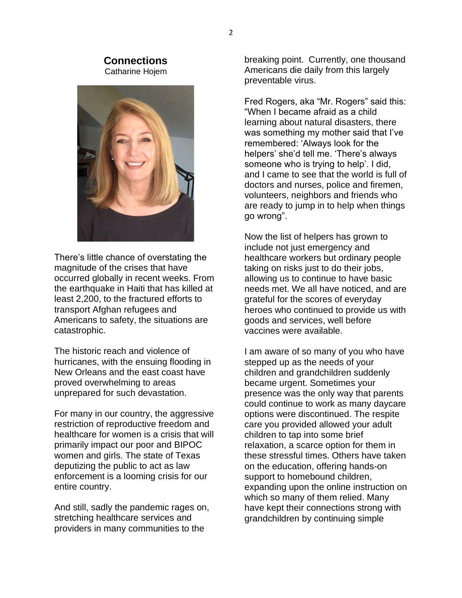#### **Connections** Catharine Hojem



There's little chance of overstating the magnitude of the crises that have occurred globally in recent weeks. From the earthquake in Haiti that has killed at least 2,200, to the fractured efforts to transport Afghan refugees and Americans to safety, the situations are catastrophic.

The historic reach and violence of hurricanes, with the ensuing flooding in New Orleans and the east coast have proved overwhelming to areas unprepared for such devastation.

For many in our country, the aggressive restriction of reproductive freedom and healthcare for women is a crisis that will primarily impact our poor and BIPOC women and girls. The state of Texas deputizing the public to act as law enforcement is a looming crisis for our entire country.

And still, sadly the pandemic rages on, stretching healthcare services and providers in many communities to the

breaking point. Currently, one thousand Americans die daily from this largely preventable virus.

Fred Rogers, aka "Mr. Rogers" said this: "When I became afraid as a child learning about natural disasters, there was something my mother said that I've remembered: 'Always look for the helpers' she'd tell me. 'There's always someone who is trying to help'. I did, and I came to see that the world is full of doctors and nurses, police and firemen, volunteers, neighbors and friends who are ready to jump in to help when things go wrong".

Now the list of helpers has grown to include not just emergency and healthcare workers but ordinary people taking on risks just to do their jobs, allowing us to continue to have basic needs met. We all have noticed, and are grateful for the scores of everyday heroes who continued to provide us with goods and services, well before vaccines were available.

I am aware of so many of you who have stepped up as the needs of your children and grandchildren suddenly became urgent. Sometimes your presence was the only way that parents could continue to work as many daycare options were discontinued. The respite care you provided allowed your adult children to tap into some brief relaxation, a scarce option for them in these stressful times. Others have taken on the education, offering hands-on support to homebound children, expanding upon the online instruction on which so many of them relied. Many have kept their connections strong with grandchildren by continuing simple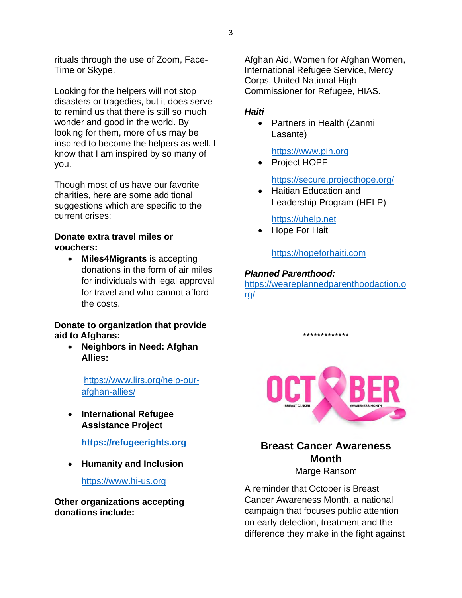rituals through the use of Zoom, Face-Time or Skype.

Looking for the helpers will not stop disasters or tragedies, but it does serve to remind us that there is still so much wonder and good in the world. By looking for them, more of us may be inspired to become the helpers as well. I know that I am inspired by so many of you.

Though most of us have our favorite charities, here are some additional suggestions which are specific to the current crises:

## **Donate extra travel miles or vouchers:**

• **Miles4Migrants** is accepting donations in the form of air miles for individuals with legal approval for travel and who cannot afford the costs.

# **Donate to organization that provide aid to Afghans:**

• **Neighbors in Need: Afghan Allies:**

> https://www.lirs.org/help-ourafghan-allies/

• **International Refugee Assistance Project**

**https://refugeerights.org**

• **Humanity and Inclusion**

https://www.hi-us.org

**Other organizations accepting donations include:**

Afghan Aid, Women for Afghan Women, International Refugee Service, Mercy Corps, United National High Commissioner for Refugee, HIAS.

# *Haiti*

• Partners in Health (Zanmi Lasante)

https://www.pih.org

• Project HOPE

https://secure.projecthope.org/

• Haitian Education and Leadership Program (HELP)

# https://uhelp.net

• Hope For Haiti

https://hopeforhaiti.com

# *Planned Parenthood:*

https://weareplannedparenthoodaction.o rg/

\*\*\*\*\*\*\*\*\*\*\*\*\*



**Breast Cancer Awareness Month**

Marge Ransom

A reminder that October is Breast Cancer Awareness Month, a national campaign that focuses public attention on early detection, treatment and the difference they make in the fight against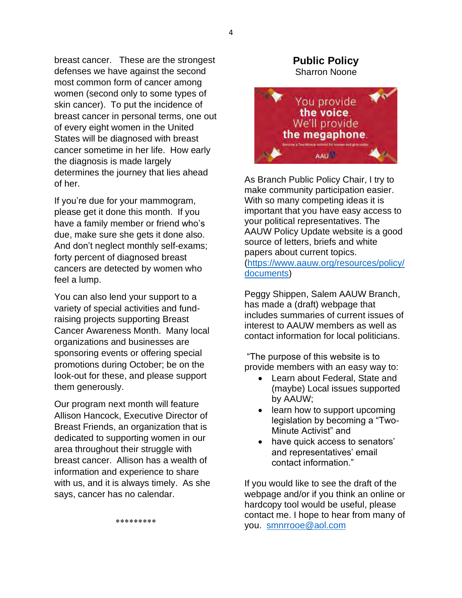breast cancer. These are the strongest defenses we have against the second most common form of cancer among women (second only to some types of skin cancer). To put the incidence of breast cancer in personal terms, one out of every eight women in the United States will be diagnosed with breast cancer sometime in her life. How early the diagnosis is made largely determines the journey that lies ahead of her.

If you're due for your mammogram, please get it done this month. If you have a family member or friend who's due, make sure she gets it done also. And don't neglect monthly self-exams; forty percent of diagnosed breast cancers are detected by women who feel a lump.

You can also lend your support to a variety of special activities and fundraising projects supporting Breast Cancer Awareness Month. Many local organizations and businesses are sponsoring events or offering special promotions during October; be on the look-out for these, and please support them generously.

Our program next month will feature Allison Hancock, Executive Director of Breast Friends, an organization that is dedicated to supporting women in our area throughout their struggle with breast cancer. Allison has a wealth of information and experience to share with us, and it is always timely. As she says, cancer has no calendar.

Sharron Noone You provide the voice. We'll provide the megaphone. **AAUA** 

**Public Policy**

As Branch Public Policy Chair, I try to make community participation easier. With so many competing ideas it is important that you have easy access to your political representatives. The AAUW Policy Update website is a good source of letters, briefs and white papers about current topics. (https://www.aauw.org/resources/policy/ documents)

Peggy Shippen, Salem AAUW Branch, has made a (draft) webpage that includes summaries of current issues of interest to AAUW members as well as contact information for local politicians.

"The purpose of this website is to provide members with an easy way to:

- Learn about Federal, State and (maybe) Local issues supported by AAUW;
- learn how to support upcoming legislation by becoming a "Two-Minute Activist" and
- have quick access to senators' and representatives' email contact information."

If you would like to see the draft of the webpage and/or if you think an online or hardcopy tool would be useful, please contact me. I hope to hear from many of you. smnrrooe@aol.com

\*\*\*\*\*\*\*\*\*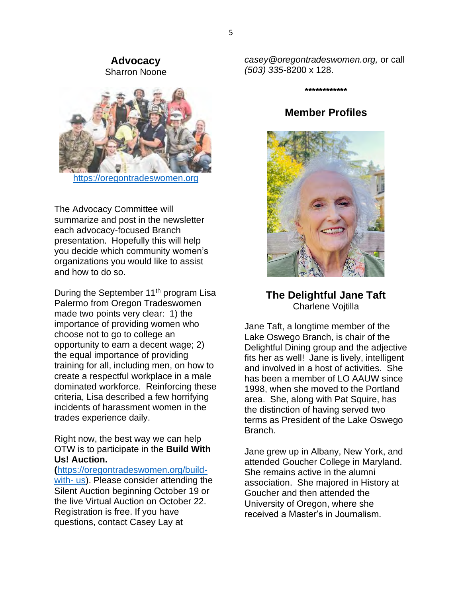#### **Advocacy** Sharron Noone



https://oregontradeswomen.org

The Advocacy Committee will summarize and post in the newsletter each advocacy-focused Branch presentation. Hopefully this will help you decide which community women's organizations you would like to assist and how to do so.

During the September 11<sup>th</sup> program Lisa Palermo from Oregon Tradeswomen made two points very clear: 1) the importance of providing women who choose not to go to college an opportunity to earn a decent wage; 2) the equal importance of providing training for all, including men, on how to create a respectful workplace in a male dominated workforce. Reinforcing these criteria, Lisa described a few horrifying incidents of harassment women in the trades experience daily.

Right now, the best way we can help OTW is to participate in the **Build With Us! Auction.** 

**(**https://oregontradeswomen.org/buildwith- us). Please consider attending the Silent Auction beginning October 19 or the live Virtual Auction on October 22. Registration is free. If you have questions, contact Casey Lay at

*casey@oregontradeswomen.org,* or call *(503) 335-*8200 x 128.

**\*\*\*\*\*\*\*\*\*\*\*\***

# **Member Profiles**



**The Delightful Jane Taft** Charlene Vojtilla

Jane Taft, a longtime member of the Lake Oswego Branch, is chair of the Delightful Dining group and the adjective fits her as well! Jane is lively, intelligent and involved in a host of activities. She has been a member of LO AAUW since 1998, when she moved to the Portland area. She, along with Pat Squire, has the distinction of having served two terms as President of the Lake Oswego Branch.

Jane grew up in Albany, New York, and attended Goucher College in Maryland. She remains active in the alumni association. She majored in History at Goucher and then attended the University of Oregon, where she received a Master's in Journalism.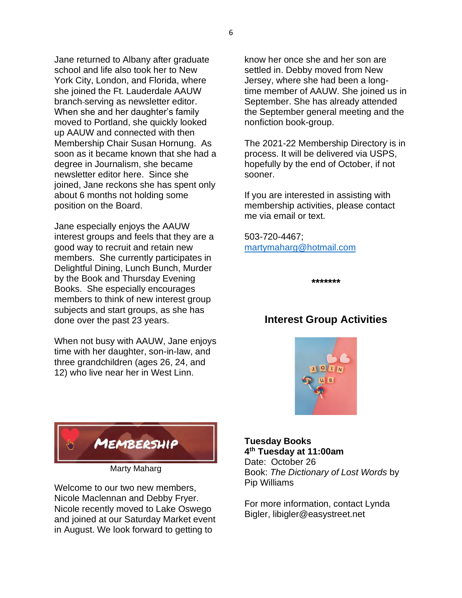Jane returned to Albany after graduate school and life also took her to New York City, London, and Florida, where she joined the Ft. Lauderdale AAUW branch serving as newsletter editor. When she and her daughter's family moved to Portland, she quickly looked up AAUW and connected with then Membership Chair Susan Hornung. As soon as it became known that she had a degree in Journalism, she became newsletter editor here. Since she joined, Jane reckons she has spent only about 6 months not holding some position on the Board.

Jane especially enjoys the AAUW interest groups and feels that they are a good way to recruit and retain new members. She currently participates in Delightful Dining, Lunch Bunch, Murder by the Book and Thursday Evening Books. She especially encourages members to think of new interest group subjects and start groups, as she has done over the past 23 years.

When not busy with AAUW, Jane enjoys time with her daughter, son-in-law, and three grandchildren (ages 26, 24, and 12) who live near her in West Linn.

know her once she and her son are settled in. Debby moved from New Jersey, where she had been a longtime member of AAUW. She joined us in September. She has already attended the September general meeting and the nonfiction book-group.

The 2021-22 Membership Directory is in process. It will be delivered via USPS, hopefully by the end of October, if not sooner.

If you are interested in assisting with membership activities, please contact me via email or text.

503-720-4467; martymaharg@hotmail.com

**\*\*\*\*\*\*\***

# **Interest Group Activities**





Marty Maharg

Welcome to our two new members, Nicole Maclennan and Debby Fryer. Nicole recently moved to Lake Oswego and joined at our Saturday Market event in August. We look forward to getting to

#### **Tuesday Books 4th Tuesday at 11:00am**

Date: October 26 Book: *The Dictionary of Lost Words* by Pip Williams

For more information, contact Lynda Bigler, libigler@easystreet.net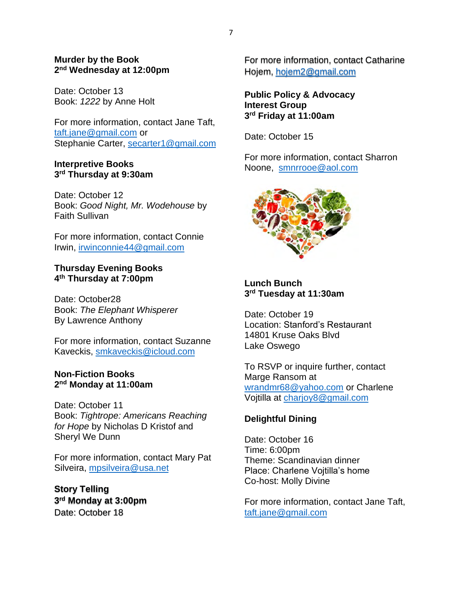#### **Murder by the Book 2nd Wednesday at 12:00pm**

Date: October 13 Book: *1222* by Anne Holt

For more information, contact Jane Taft, taft.jane@gmail.com or Stephanie Carter, secarter1@gmail.com

#### **Interpretive Books 3rd Thursday at 9:30am**

Date: October 12 Book: *Good Night, Mr. Wodehouse* by Faith Sullivan

For more information, contact Connie Irwin, irwinconnie44@gmail.com

## **Thursday Evening Books 4th Thursday at 7:00pm**

Date: October28 Book: *The Elephant Whisperer* By Lawrence Anthony

For more information, contact Suzanne Kaveckis, smkaveckis@icloud.com

#### **Non-Fiction Books 2nd Monday at 11:00am**

Date: October 11 Book: *Tightrope: Americans Reaching for Hope* by Nicholas D Kristof and Sheryl We Dunn

For more information, contact Mary Pat Silveira, mpsilveira@usa.net

**Story Telling 3rd Monday at 3:00pm** Date: October 18

For more information, contact Catharine Hojem, hojem2@gmail.com

**Public Policy & Advocacy Interest Group 3rd Friday at 11:00am**

Date: October 15

For more information, contact Sharron Noone, smnrrooe@aol.com



**Lunch Bunch 3rd Tuesday at 11:30am**

Date: October 19 Location: Stanford's Restaurant 14801 Kruse Oaks Blvd Lake Oswego

To RSVP or inquire further, contact Marge Ransom at wrandmr68@yahoo.com or Charlene Vojtilla at charjoy8@gmail.com

# **Delightful Dining**

Date: October 16 Time: 6:00pm Theme: Scandinavian dinner Place: Charlene Vojtilla's home Co-host: Molly Divine

For more information, contact Jane Taft, taft.jane@gmail.com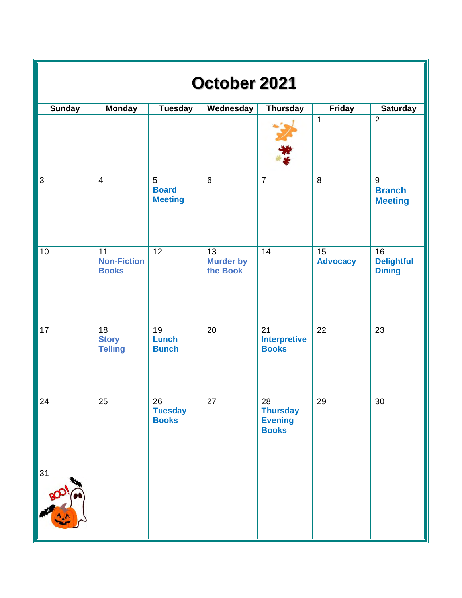| October 2021    |                                                   |                                                  |                                                 |                                                         |                       |                                                   |  |  |  |  |
|-----------------|---------------------------------------------------|--------------------------------------------------|-------------------------------------------------|---------------------------------------------------------|-----------------------|---------------------------------------------------|--|--|--|--|
| <b>Sunday</b>   | <b>Monday</b>                                     | <b>Tuesday</b>                                   | Wednesday                                       | <b>Thursday</b>                                         | Friday                | <b>Saturday</b>                                   |  |  |  |  |
|                 |                                                   |                                                  |                                                 |                                                         | $\mathbf 1$           | $\overline{2}$                                    |  |  |  |  |
| $\overline{3}$  | $\overline{4}$                                    | $\overline{5}$<br><b>Board</b><br><b>Meeting</b> | $\overline{6}$                                  | $\overline{7}$                                          | $\,8\,$               | $\overline{9}$<br><b>Branch</b><br><b>Meeting</b> |  |  |  |  |
| 10              | 11<br><b>Non-Fiction</b><br><b>Books</b>          | $\overline{12}$                                  | $\overline{13}$<br><b>Murder by</b><br>the Book | 14                                                      | 15<br><b>Advocacy</b> | 16<br><b>Delightful</b><br><b>Dining</b>          |  |  |  |  |
| $\overline{17}$ | $\overline{18}$<br><b>Story</b><br><b>Telling</b> | 19<br><b>Lunch</b><br><b>Bunch</b>               | 20                                              | $\overline{21}$<br><b>Interpretive</b><br><b>Books</b>  | 22                    | 23                                                |  |  |  |  |
| 24              | 25                                                | 26<br><b>Tuesday</b><br><b>Books</b>             | 27                                              | 28<br><b>Thursday</b><br><b>Evening</b><br><b>Books</b> | 29                    | $30\,$                                            |  |  |  |  |
| 31              |                                                   |                                                  |                                                 |                                                         |                       |                                                   |  |  |  |  |